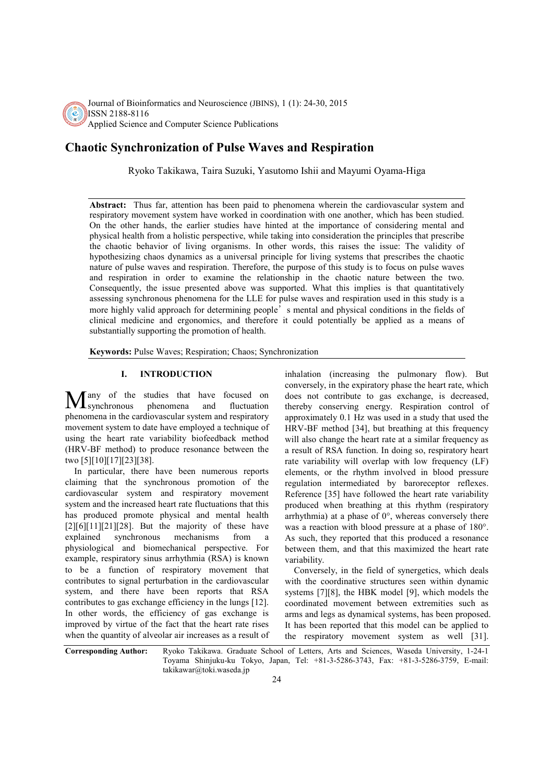# **Chaotic Synchronization of Pulse Waves and Respiration**

Ryoko Takikawa, Taira Suzuki, Yasutomo Ishii and Mayumi Oyama-Higa

**Abstract:** Thus far, attention has been paid to phenomena wherein the cardiovascular system and respiratory movement system have worked in coordination with one another, which has been studied. On the other hands, the earlier studies have hinted at the importance of considering mental and physical health from a holistic perspective, while taking into consideration the principles that prescribe the chaotic behavior of living organisms. In other words, this raises the issue: The validity of hypothesizing chaos dynamics as a universal principle for living systems that prescribes the chaotic nature of pulse waves and respiration. Therefore, the purpose of this study is to focus on pulse waves and respiration in order to examine the relationship in the chaotic nature between the two. Consequently, the issue presented above was supported. What this implies is that quantitatively assessing synchronous phenomena for the LLE for pulse waves and respiration used in this study is a more highly valid approach for determining people's mental and physical conditions in the fields of clinical medicine and ergonomics, and therefore it could potentially be applied as a means of substantially supporting the promotion of health.

**Keywords:** Pulse Waves; Respiration; Chaos; Synchronization

# **I. INTRODUCTION**

any of the studies that have focused on synchronous phenomena and fluctuation phenomena in the cardiovascular system and respiratory movement system to date have employed a technique of using the heart rate variability biofeedback method (HRV-BF method) to produce resonance between the two [5][10][17][23][38]. M

In particular, there have been numerous reports claiming that the synchronous promotion of the cardiovascular system and respiratory movement system and the increased heart rate fluctuations that this has produced promote physical and mental health  $[2][6][11][21][28]$ . But the majority of these have explained synchronous mechanisms from a physiological and biomechanical perspective. For example, respiratory sinus arrhythmia (RSA) is known to be a function of respiratory movement that contributes to signal perturbation in the cardiovascular system, and there have been reports that RSA contributes to gas exchange efficiency in the lungs [12]. In other words, the efficiency of gas exchange is improved by virtue of the fact that the heart rate rises when the quantity of alveolar air increases as a result of

inhalation (increasing the pulmonary flow). But conversely, in the expiratory phase the heart rate, which does not contribute to gas exchange, is decreased, thereby conserving energy. Respiration control of approximately 0.1 Hz was used in a study that used the HRV-BF method [34], but breathing at this frequency will also change the heart rate at a similar frequency as a result of RSA function. In doing so, respiratory heart rate variability will overlap with low frequency (LF) elements, or the rhythm involved in blood pressure regulation intermediated by baroreceptor reflexes. Reference [35] have followed the heart rate variability produced when breathing at this rhythm (respiratory arrhythmia) at a phase of 0°, whereas conversely there was a reaction with blood pressure at a phase of 180°. As such, they reported that this produced a resonance between them, and that this maximized the heart rate variability.

Conversely, in the field of synergetics, which deals with the coordinative structures seen within dynamic systems [7][8], the HBK model [9], which models the coordinated movement between extremities such as arms and legs as dynamical systems, has been proposed. It has been reported that this model can be applied to the respiratory movement system as well [31].

**Corresponding Author:** Ryoko Takikawa. Graduate School of Letters, Arts and Sciences, Waseda University, 1-24-1 Toyama Shinjuku-ku Tokyo, Japan, Tel: +81-3-5286-3743, Fax: +81-3-5286-3759, E-mail: takikawar@toki.waseda.jp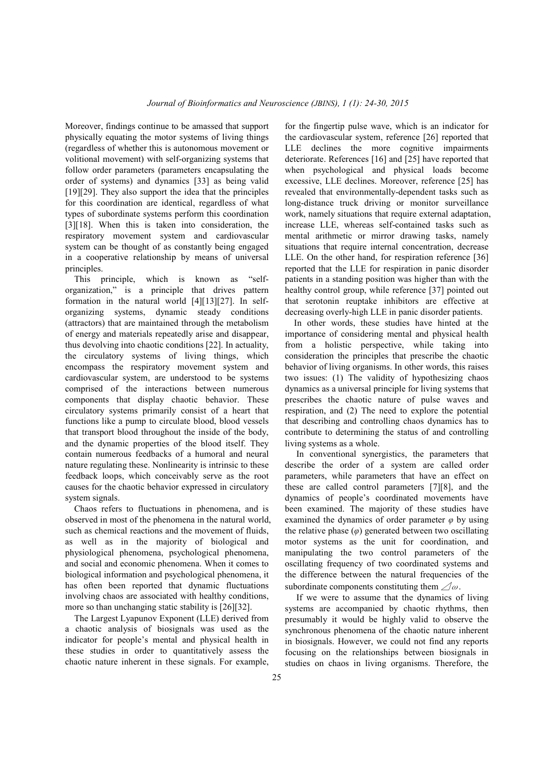Moreover, findings continue to be amassed that support physically equating the motor systems of living things (regardless of whether this is autonomous movement or volitional movement) with self-organizing systems that follow order parameters (parameters encapsulating the order of systems) and dynamics [33] as being valid [19][29]. They also support the idea that the principles for this coordination are identical, regardless of what types of subordinate systems perform this coordination [3][18]. When this is taken into consideration, the respiratory movement system and cardiovascular system can be thought of as constantly being engaged in a cooperative relationship by means of universal principles.

This principle, which is known as "selforganization," is a principle that drives pattern formation in the natural world [4][13][27]. In selforganizing systems, dynamic steady conditions (attractors) that are maintained through the metabolism of energy and materials repeatedly arise and disappear, thus devolving into chaotic conditions [22]. In actuality, the circulatory systems of living things, which encompass the respiratory movement system and cardiovascular system, are understood to be systems comprised of the interactions between numerous components that display chaotic behavior. These circulatory systems primarily consist of a heart that functions like a pump to circulate blood, blood vessels that transport blood throughout the inside of the body, and the dynamic properties of the blood itself. They contain numerous feedbacks of a humoral and neural nature regulating these. Nonlinearity is intrinsic to these feedback loops, which conceivably serve as the root causes for the chaotic behavior expressed in circulatory system signals.

Chaos refers to fluctuations in phenomena, and is observed in most of the phenomena in the natural world, such as chemical reactions and the movement of fluids, as well as in the majority of biological and physiological phenomena, psychological phenomena, and social and economic phenomena. When it comes to biological information and psychological phenomena, it has often been reported that dynamic fluctuations involving chaos are associated with healthy conditions, more so than unchanging static stability is [26][32].

The Largest Lyapunov Exponent (LLE) derived from a chaotic analysis of biosignals was used as the indicator for people's mental and physical health in these studies in order to quantitatively assess the chaotic nature inherent in these signals. For example, for the fingertip pulse wave, which is an indicator for the cardiovascular system, reference [26] reported that LLE declines the more cognitive impairments deteriorate. References [16] and [25] have reported that when psychological and physical loads become excessive, LLE declines. Moreover, reference [25] has revealed that environmentally-dependent tasks such as long-distance truck driving or monitor surveillance work, namely situations that require external adaptation, increase LLE, whereas self-contained tasks such as mental arithmetic or mirror drawing tasks, namely situations that require internal concentration, decrease LLE. On the other hand, for respiration reference [36] reported that the LLE for respiration in panic disorder patients in a standing position was higher than with the healthy control group, while reference [37] pointed out that serotonin reuptake inhibitors are effective at decreasing overly-high LLE in panic disorder patients.

In other words, these studies have hinted at the importance of considering mental and physical health from a holistic perspective, while taking into consideration the principles that prescribe the chaotic behavior of living organisms. In other words, this raises two issues: (1) The validity of hypothesizing chaos dynamics as a universal principle for living systems that prescribes the chaotic nature of pulse waves and respiration, and (2) The need to explore the potential that describing and controlling chaos dynamics has to contribute to determining the status of and controlling living systems as a whole.

 In conventional synergistics, the parameters that describe the order of a system are called order parameters, while parameters that have an effect on these are called control parameters [7][8], and the dynamics of people's coordinated movements have been examined. The majority of these studies have examined the dynamics of order parameter *φ* by using the relative phase (*φ*) generated between two oscillating motor systems as the unit for coordination, and manipulating the two control parameters of the oscillating frequency of two coordinated systems and the difference between the natural frequencies of the subordinate components constituting them  $\angle$ ω.

 If we were to assume that the dynamics of living systems are accompanied by chaotic rhythms, then presumably it would be highly valid to observe the synchronous phenomena of the chaotic nature inherent in biosignals. However, we could not find any reports focusing on the relationships between biosignals in studies on chaos in living organisms. Therefore, the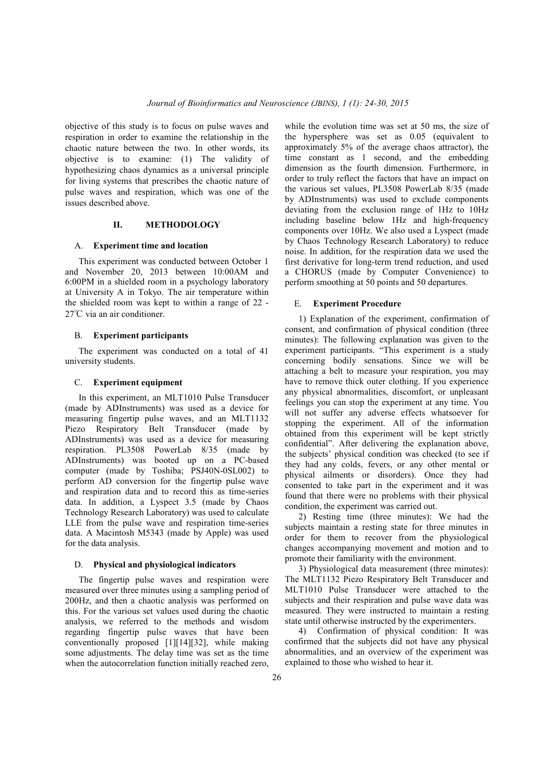objective of this study is to focus on pulse waves and respiration in order to examine the relationship in the chaotic nature between the two. In other words, its objective is to examine: (1) The validity of hypothesizing chaos dynamics as a universal principle for living systems that prescribes the chaotic nature of pulse waves and respiration, which was one of the issues described above.

# **II. METHODOLOGY**

## A. **Experiment time and location**

This experiment was conducted between October 1 and November 20, 2013 between 10:00AM and 6:00PM in a shielded room in a psychology laboratory at University A in Tokyo. The air temperature within the shielded room was kept to within a range of 22 - 27℃ via an air conditioner.

#### B. **Experiment participants**

The experiment was conducted on a total of 41 university students.

#### C. **Experiment equipment**

In this experiment, an MLT1010 Pulse Transducer (made by ADInstruments) was used as a device for measuring fingertip pulse waves, and an MLT1132 Piezo Respiratory Belt Transducer (made by ADInstruments) was used as a device for measuring respiration. PL3508 PowerLab 8/35 (made by ADInstruments) was booted up on a PC-based computer (made by Toshiba; PSJ40N-0SL002) to perform AD conversion for the fingertip pulse wave and respiration data and to record this as time-series data. In addition, a Lyspect 3.5 (made by Chaos Technology Research Laboratory) was used to calculate LLE from the pulse wave and respiration time-series data. A Macintosh M5343 (made by Apple) was used for the data analysis.

## D. **Physical and physiological indicators**

The fingertip pulse waves and respiration were measured over three minutes using a sampling period of 200Hz, and then a chaotic analysis was performed on this. For the various set values used during the chaotic analysis, we referred to the methods and wisdom regarding fingertip pulse waves that have been conventionally proposed [1][14][32], while making some adjustments. The delay time was set as the time when the autocorrelation function initially reached zero.

while the evolution time was set at 50 ms, the size of the hypersphere was set as 0.05 (equivalent to approximately 5% of the average chaos attractor), the time constant as 1 second, and the embedding dimension as the fourth dimension. Furthermore, in order to truly reflect the factors that have an impact on the various set values, PL3508 PowerLab 8/35 (made by ADInstruments) was used to exclude components deviating from the exclusion range of 1Hz to 10Hz including baseline below 1Hz and high-frequency components over 10Hz. We also used a Lyspect (made by Chaos Technology Research Laboratory) to reduce noise. In addition, for the respiration data we used the first derivative for long-term trend reduction, and used a CHORUS (made by Computer Convenience) to perform smoothing at 50 points and 50 departures.

#### E. **Experiment Procedure**

1) Explanation of the experiment, confirmation of consent, and confirmation of physical condition (three minutes): The following explanation was given to the experiment participants. "This experiment is a study concerning bodily sensations. Since we will be attaching a belt to measure your respiration, you may have to remove thick outer clothing. If you experience any physical abnormalities, discomfort, or unpleasant feelings you can stop the experiment at any time. You will not suffer any adverse effects whatsoever for stopping the experiment. All of the information obtained from this experiment will be kept strictly confidential". After delivering the explanation above, the subjects' physical condition was checked (to see if they had any colds, fevers, or any other mental or physical ailments or disorders). Once they had consented to take part in the experiment and it was found that there were no problems with their physical condition, the experiment was carried out.

2) Resting time (three minutes): We had the subjects maintain a resting state for three minutes in order for them to recover from the physiological changes accompanying movement and motion and to promote their familiarity with the environment.

3) Physiological data measurement (three minutes): The MLT1132 Piezo Respiratory Belt Transducer and MLT1010 Pulse Transducer were attached to the subjects and their respiration and pulse wave data was measured. They were instructed to maintain a resting state until otherwise instructed by the experimenters.

4) Confirmation of physical condition: It was confirmed that the subjects did not have any physical abnormalities, and an overview of the experiment was explained to those who wished to hear it.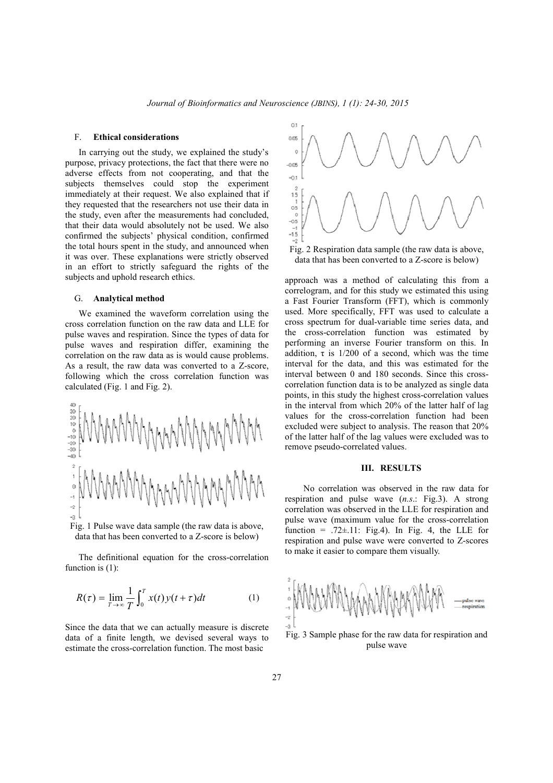#### F. **Ethical considerations**

In carrying out the study, we explained the study's purpose, privacy protections, the fact that there were no adverse effects from not cooperating, and that the subjects themselves could stop the experiment immediately at their request. We also explained that if they requested that the researchers not use their data in the study, even after the measurements had concluded, that their data would absolutely not be used. We also confirmed the subjects' physical condition, confirmed the total hours spent in the study, and announced when it was over. These explanations were strictly observed in an effort to strictly safeguard the rights of the subjects and uphold research ethics.

#### G. **Analytical method**

We examined the waveform correlation using the cross correlation function on the raw data and LLE for pulse waves and respiration. Since the types of data for pulse waves and respiration differ, examining the correlation on the raw data as is would cause problems. As a result, the raw data was converted to a Z-score, following which the cross correlation function was calculated (Fig. 1 and Fig. 2).





The definitional equation for the cross-correlation function is  $(1)$ :

$$
R(\tau) = \lim_{T \to \infty} \frac{1}{T} \int_0^T x(t) y(t + \tau) dt
$$
 (1)

Since the data that we can actually measure is discrete data of a finite length, we devised several ways to estimate the cross-correlation function. The most basic



Fig. 2 Respiration data sample (the raw data is above, data that has been converted to a Z-score is below)

approach was a method of calculating this from a correlogram, and for this study we estimated this using a Fast Fourier Transform (FFT), which is commonly used. More specifically, FFT was used to calculate a cross spectrum for dual-variable time series data, and the cross-correlation function was estimated by performing an inverse Fourier transform on this. In addition,  $\tau$  is 1/200 of a second, which was the time interval for the data, and this was estimated for the interval between 0 and 180 seconds. Since this crosscorrelation function data is to be analyzed as single data points, in this study the highest cross-correlation values in the interval from which 20% of the latter half of lag values for the cross-correlation function had been excluded were subject to analysis. The reason that 20% of the latter half of the lag values were excluded was to remove pseudo-correlated values.

## **III. RESULTS**

 No correlation was observed in the raw data for respiration and pulse wave (*n.s*.: Fig.3). A strong correlation was observed in the LLE for respiration and pulse wave (maximum value for the cross-correlation function =  $.72 \pm .11$ : Fig. 4). In Fig. 4, the LLE for respiration and pulse wave were converted to Z-scores to make it easier to compare them visually.



Fig. 3 Sample phase for the raw data for respiration and pulse wave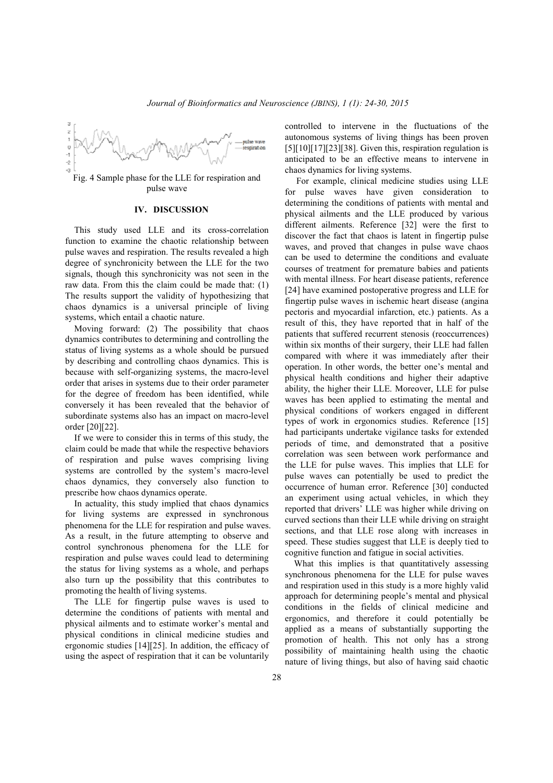

# Fig. 4 Sample phase for the LLE for respiration and pulse wave

## **IV. DISCUSSION**

This study used LLE and its cross-correlation function to examine the chaotic relationship between pulse waves and respiration. The results revealed a high degree of synchronicity between the LLE for the two signals, though this synchronicity was not seen in the raw data. From this the claim could be made that: (1) The results support the validity of hypothesizing that chaos dynamics is a universal principle of living systems, which entail a chaotic nature.

Moving forward: (2) The possibility that chaos dynamics contributes to determining and controlling the status of living systems as a whole should be pursued by describing and controlling chaos dynamics. This is because with self-organizing systems, the macro-level order that arises in systems due to their order parameter for the degree of freedom has been identified, while conversely it has been revealed that the behavior of subordinate systems also has an impact on macro-level order [20][22].

If we were to consider this in terms of this study, the claim could be made that while the respective behaviors of respiration and pulse waves comprising living systems are controlled by the system's macro-level chaos dynamics, they conversely also function to prescribe how chaos dynamics operate.

In actuality, this study implied that chaos dynamics for living systems are expressed in synchronous phenomena for the LLE for respiration and pulse waves. As a result, in the future attempting to observe and control synchronous phenomena for the LLE for respiration and pulse waves could lead to determining the status for living systems as a whole, and perhaps also turn up the possibility that this contributes to promoting the health of living systems.

The LLE for fingertip pulse waves is used to determine the conditions of patients with mental and physical ailments and to estimate worker's mental and physical conditions in clinical medicine studies and ergonomic studies [14][25]. In addition, the efficacy of using the aspect of respiration that it can be voluntarily

controlled to intervene in the fluctuations of the autonomous systems of living things has been proven  $[5][10][17][23][38]$ . Given this, respiration regulation is anticipated to be an effective means to intervene in chaos dynamics for living systems.

 For example, clinical medicine studies using LLE for pulse waves have given consideration to determining the conditions of patients with mental and physical ailments and the LLE produced by various different ailments. Reference [32] were the first to discover the fact that chaos is latent in fingertip pulse waves, and proved that changes in pulse wave chaos can be used to determine the conditions and evaluate courses of treatment for premature babies and patients with mental illness. For heart disease patients, reference [24] have examined postoperative progress and LLE for fingertip pulse waves in ischemic heart disease (angina pectoris and myocardial infarction, etc.) patients. As a result of this, they have reported that in half of the patients that suffered recurrent stenosis (reoccurrences) within six months of their surgery, their LLE had fallen compared with where it was immediately after their operation. In other words, the better one's mental and physical health conditions and higher their adaptive ability, the higher their LLE. Moreover, LLE for pulse waves has been applied to estimating the mental and physical conditions of workers engaged in different types of work in ergonomics studies. Reference [15] had participants undertake vigilance tasks for extended periods of time, and demonstrated that a positive correlation was seen between work performance and the LLE for pulse waves. This implies that LLE for pulse waves can potentially be used to predict the occurrence of human error. Reference [30] conducted an experiment using actual vehicles, in which they reported that drivers' LLE was higher while driving on curved sections than their LLE while driving on straight sections, and that LLE rose along with increases in speed. These studies suggest that LLE is deeply tied to cognitive function and fatigue in social activities.

What this implies is that quantitatively assessing synchronous phenomena for the LLE for pulse waves and respiration used in this study is a more highly valid approach for determining people's mental and physical conditions in the fields of clinical medicine and ergonomics, and therefore it could potentially be applied as a means of substantially supporting the promotion of health. This not only has a strong possibility of maintaining health using the chaotic nature of living things, but also of having said chaotic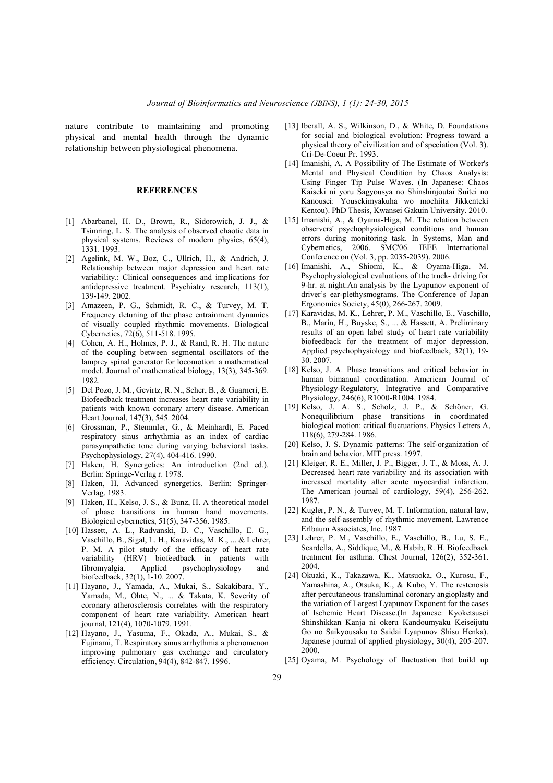nature contribute to maintaining and promoting physical and mental health through the dynamic relationship between physiological phenomena.

# **REFERENCES**

- [1] Abarbanel, H. D., Brown, R., Sidorowich, J. J., & Tsimring, L. S. The analysis of observed chaotic data in physical systems. Reviews of modern physics, 65(4), 1331. 1993.
- [2] Agelink, M. W., Boz, C., Ullrich, H., & Andrich, J. Relationship between major depression and heart rate variability.: Clinical consequences and implications for antidepressive treatment. Psychiatry research, 113(1), 139-149. 2002.
- [3] Amazeen, P. G., Schmidt, R. C., & Turvey, M. T. Frequency detuning of the phase entrainment dynamics of visually coupled rhythmic movements. Biological Cybernetics, 72(6), 511-518. 1995.
- [4] Cohen, A. H., Holmes, P. J., & Rand, R. H. The nature of the coupling between segmental oscillators of the lamprey spinal generator for locomotion: a mathematical model. Journal of mathematical biology, 13(3), 345-369. 1982.
- [5] Del Pozo, J. M., Gevirtz, R. N., Scher, B., & Guarneri, E. Biofeedback treatment increases heart rate variability in patients with known coronary artery disease. American Heart Journal, 147(3), 545. 2004.
- [6] Grossman, P., Stemmler, G., & Meinhardt, E. Paced respiratory sinus arrhythmia as an index of cardiac parasympathetic tone during varying behavioral tasks. Psychophysiology, 27(4), 404-416. 1990.
- [7] Haken, H. Synergetics: An introduction (2nd ed.). Berlin: Springe-Verlag r. 1978.
- [8] Haken, H. Advanced synergetics. Berlin: Springer-Verlag. 1983.
- [9] Haken, H., Kelso, J. S., & Bunz, H. A theoretical model of phase transitions in human hand movements. Biological cybernetics, 51(5), 347-356. 1985.
- [10] Hassett, A. L., Radvanski, D. C., Vaschillo, E. G., Vaschillo, B., Sigal, L. H., Karavidas, M. K., ... & Lehrer, P. M. A pilot study of the efficacy of heart rate variability (HRV) biofeedback in patients with fibromyalgia. Applied psychophysiology and biofeedback, 32(1), 1-10. 2007.
- [11] Hayano, J., Yamada, A., Mukai, S., Sakakibara, Y., Yamada, M., Ohte, N., ... & Takata, K. Severity of coronary atherosclerosis correlates with the respiratory component of heart rate variability. American heart journal, 121(4), 1070-1079. 1991.
- [12] Hayano, J., Yasuma, F., Okada, A., Mukai, S., & Fujinami, T. Respiratory sinus arrhythmia a phenomenon improving pulmonary gas exchange and circulatory efficiency. Circulation, 94(4), 842-847. 1996.
- [13] Iberall, A. S., Wilkinson, D., & White, D. Foundations for social and biological evolution: Progress toward a physical theory of civilization and of speciation (Vol. 3). Cri-De-Coeur Pr. 1993.
- [14] Imanishi, A. A Possibility of The Estimate of Worker's Mental and Physical Condition by Chaos Analysis: Using Finger Tip Pulse Waves. (In Japanese: Chaos Kaiseki ni yoru Sagyousya no Shinshinjoutai Suitei no Kanousei: Yousekimyakuha wo mochiita Jikkenteki Kentou). PhD Thesis, Kwansei Gakuin University. 2010.
- [15] Imanishi, A., & Oyama-Higa, M. The relation between observers' psychophysiological conditions and human errors during monitoring task. In Systems, Man and Cybernetics, 2006. SMC'06. IEEE International Conference on (Vol. 3, pp. 2035-2039). 2006.
- [16] Imanishi, A., Shiomi, K., & Oyama-Higa, M. Psychophysiological evaluations of the truck- driving for 9-hr. at night:An analysis by the Lyapunov exponent of driver's ear-plethysmograms. The Conference of Japan Ergonomics Society, 45(0), 266-267. 2009.
- [17] Karavidas, M. K., Lehrer, P. M., Vaschillo, E., Vaschillo, B., Marin, H., Buyske, S., ... & Hassett, A. Preliminary results of an open label study of heart rate variability biofeedback for the treatment of major depression. Applied psychophysiology and biofeedback, 32(1), 19- 30. 2007.
- [18] Kelso, J. A. Phase transitions and critical behavior in human bimanual coordination. American Journal of Physiology-Regulatory, Integrative and Comparative Physiology, 246(6), R1000-R1004. 1984.
- [19] Kelso, J. A. S., Scholz, J. P., & Schöner, G. Nonequilibrium phase transitions in coordinated biological motion: critical fluctuations. Physics Letters A, 118(6), 279-284. 1986.
- [20] Kelso, J. S. Dynamic patterns: The self-organization of brain and behavior. MIT press. 1997.
- [21] Kleiger, R. E., Miller, J. P., Bigger, J. T., & Moss, A. J. Decreased heart rate variability and its association with increased mortality after acute myocardial infarction. The American journal of cardiology, 59(4), 256-262. 1987.
- [22] Kugler, P. N., & Turvey, M. T. Information, natural law, and the self-assembly of rhythmic movement. Lawrence Erlbaum Associates, Inc. 1987.
- [23] Lehrer, P. M., Vaschillo, E., Vaschillo, B., Lu, S. E., Scardella, A., Siddique, M., & Habib, R. H. Biofeedback treatment for asthma. Chest Journal, 126(2), 352-361. 2004.
- [24] Okuaki, K., Takazawa, K., Matsuoka, O., Kurosu, F., Yamashina, A., Otsuka, K., & Kubo, Y. The restenosis after percutaneous transluminal coronary angioplasty and the variation of Largest Lyapunov Exponent for the cases of Ischemic Heart Disease.(In Japanese: Kyoketsusei Shinshikkan Kanja ni okeru Kandoumyaku Keiseijutu Go no Saikyousaku to Saidai Lyapunov Shisu Henka). Japanese journal of applied physiology, 30(4), 205-207. 2000.
- [25] Oyama, M. Psychology of fluctuation that build up